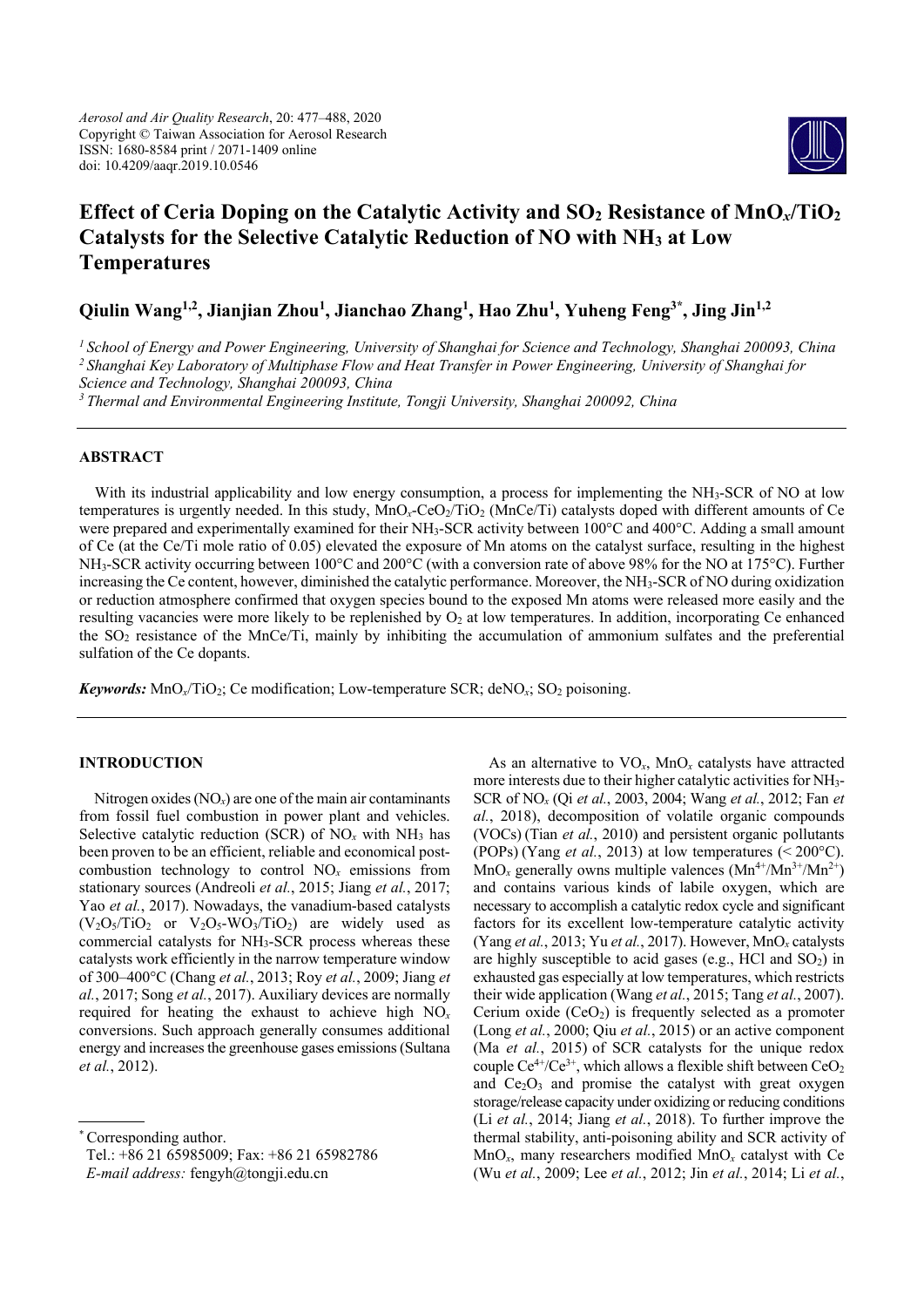

# **Effect of Ceria Doping on the Catalytic Activity and SO2 Resistance of MnO***x***/TiO2 Catalysts for the Selective Catalytic Reduction of NO with NH3 at Low Temperatures**

**Qiulin Wang1,2, Jianjian Zhou1 , Jianchao Zhang1 , Hao Zhu1 , Yuheng Feng3\*, Jing Jin1,2**

*1 School of Energy and Power Engineering, University of Shanghai for Science and Technology, Shanghai 200093, China*

*2 Shanghai Key Laboratory of Multiphase Flow and Heat Transfer in Power Engineering, University of Shanghai for* 

*Science and Technology, Shanghai 200093, China*

*<sup>3</sup> Thermal and Environmental Engineering Institute, Tongji University, Shanghai 200092, China* 

## **ABSTRACT**

With its industrial applicability and low energy consumption, a process for implementing the NH<sub>3</sub>-SCR of NO at low temperatures is urgently needed. In this study, MnO<sub>x</sub>-CeO<sub>2</sub>/TiO<sub>2</sub> (MnCe/Ti) catalysts doped with different amounts of Ce were prepared and experimentally examined for their NH<sub>3</sub>-SCR activity between 100°C and 400°C. Adding a small amount of Ce (at the Ce/Ti mole ratio of 0.05) elevated the exposure of Mn atoms on the catalyst surface, resulting in the highest NH3-SCR activity occurring between 100°C and 200°C (with a conversion rate of above 98% for the NO at 175°C). Further increasing the Ce content, however, diminished the catalytic performance. Moreover, the NH3-SCR of NO during oxidization or reduction atmosphere confirmed that oxygen species bound to the exposed Mn atoms were released more easily and the resulting vacancies were more likely to be replenished by  $O<sub>2</sub>$  at low temperatures. In addition, incorporating Ce enhanced the SO2 resistance of the MnCe/Ti, mainly by inhibiting the accumulation of ammonium sulfates and the preferential sulfation of the Ce dopants.

*Keywords:* MnO<sub>*x*</sub>/T<sub>i</sub>O<sub>2</sub>; Ce modification; Low-temperature SCR; deNO<sub>*x*</sub>; SO<sub>2</sub> poisoning.

## **INTRODUCTION**

Nitrogen oxides  $(NO<sub>x</sub>)$  are one of the main air contaminants from fossil fuel combustion in power plant and vehicles. Selective catalytic reduction (SCR) of  $NO<sub>x</sub>$  with  $NH<sub>3</sub>$  has been proven to be an efficient, reliable and economical postcombustion technology to control  $NO<sub>x</sub>$  emissions from stationary sources (Andreoli *et al.*, 2015; Jiang *et al.*, 2017; Yao *et al.*, 2017). Nowadays, the vanadium-based catalysts  $(V_2O<sub>5</sub>/TiO<sub>2</sub>$  or  $V_2O<sub>5</sub>-WO<sub>3</sub>/TiO<sub>2</sub>)$  are widely used as commercial catalysts for NH3-SCR process whereas these catalysts work efficiently in the narrow temperature window of 300–400°C (Chang *et al.*, 2013; Roy *et al.*, 2009; Jiang *et al.*, 2017; Song *et al.*, 2017). Auxiliary devices are normally required for heating the exhaust to achieve high NO*<sup>x</sup>* conversions. Such approach generally consumes additional energy and increases the greenhouse gases emissions (Sultana *et al.*, 2012).

Tel.: +86 21 65985009; Fax: +86 21 65982786

As an alternative to  $VO_x$ ,  $MnO_x$  catalysts have attracted more interests due to their higher catalytic activities for NH3- SCR of NO*x* (Qi *et al.*, 2003, 2004; Wang *et al.*, 2012; Fan *et al.*, 2018), decomposition of volatile organic compounds (VOCs) (Tian *et al.*, 2010) and persistent organic pollutants (POPs) (Yang *et al.*, 2013) at low temperatures (< 200°C).  $MnO_x$  generally owns multiple valences  $(Mn^{4+}/Mn^{3+}/Mn^{2+})$ and contains various kinds of labile oxygen, which are necessary to accomplish a catalytic redox cycle and significant factors for its excellent low-temperature catalytic activity (Yang *et al.*, 2013; Yu *et al.*, 2017). However, MnO*x* catalysts are highly susceptible to acid gases (e.g., HCl and  $SO<sub>2</sub>$ ) in exhausted gas especially at low temperatures, which restricts their wide application (Wang *et al.*, 2015; Tang *et al.*, 2007). Cerium oxide  $(CeO<sub>2</sub>)$  is frequently selected as a promoter (Long *et al.*, 2000; Qiu *et al.*, 2015) or an active component (Ma *et al.*, 2015) of SCR catalysts for the unique redox couple  $Ce^{4+}/Ce^{3+}$ , which allows a flexible shift between  $CeO<sub>2</sub>$ and  $Ce<sub>2</sub>O<sub>3</sub>$  and promise the catalyst with great oxygen storage/release capacity under oxidizing or reducing conditions (Li *et al.*, 2014; Jiang *et al.*, 2018). To further improve the thermal stability, anti-poisoning ability and SCR activity of MnO*x*, many researchers modified MnO*x* catalyst with Ce (Wu *et al.*, 2009; Lee *et al.*, 2012; Jin *et al.*, 2014; Li *et al.*,

<sup>\*</sup> Corresponding author.

*E-mail address:* fengyh@tongji.edu.cn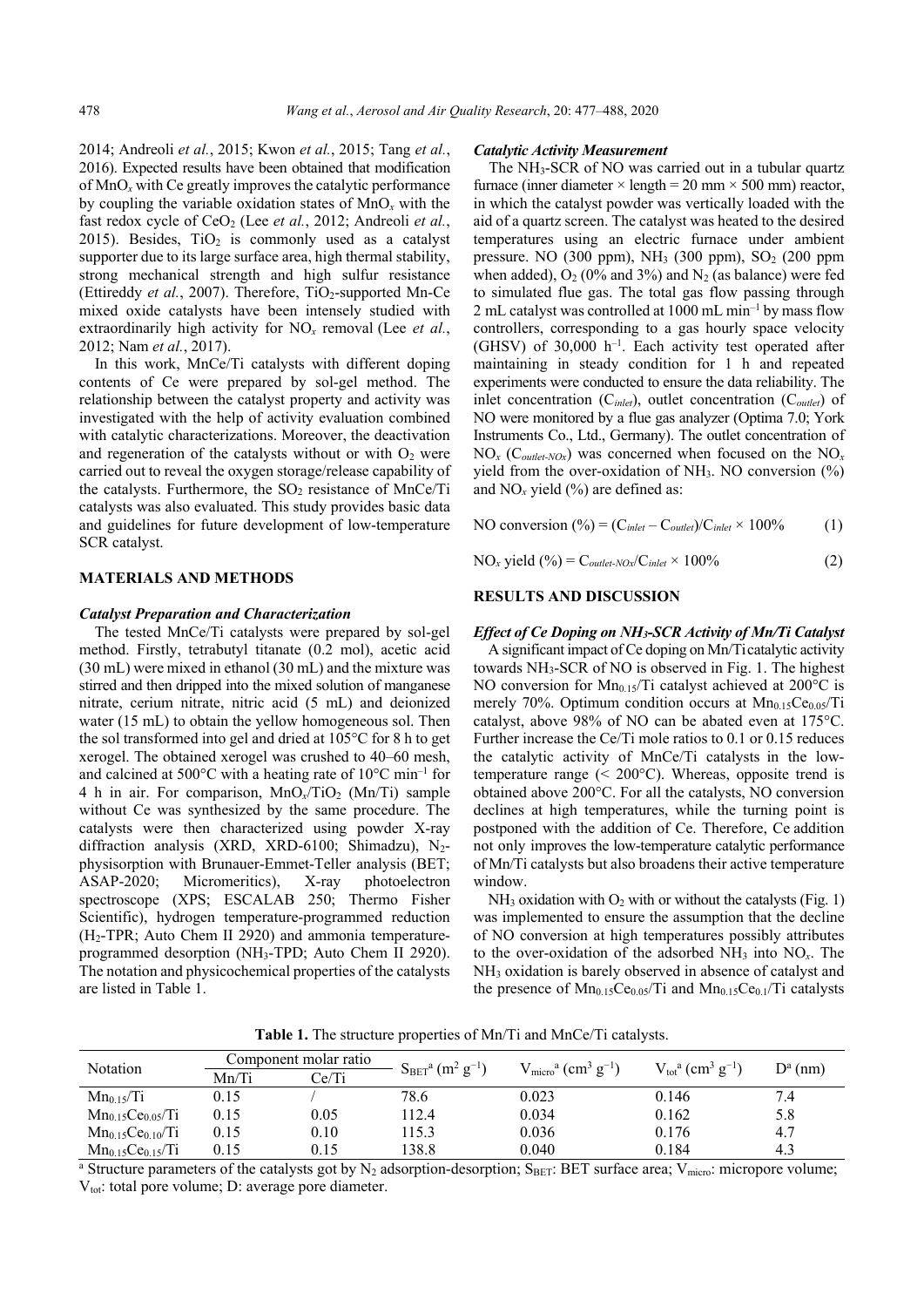2014; Andreoli *et al.*, 2015; Kwon *et al.*, 2015; Tang *et al.*, 2016). Expected results have been obtained that modification of MnO*x* with Ce greatly improves the catalytic performance by coupling the variable oxidation states of MnO*x* with the fast redox cycle of CeO<sub>2</sub> (Lee *et al.*, 2012; Andreoli *et al.*, 2015). Besides,  $TiO<sub>2</sub>$  is commonly used as a catalyst supporter due to its large surface area, high thermal stability, strong mechanical strength and high sulfur resistance (Ettireddy et al., 2007). Therefore, TiO<sub>2</sub>-supported Mn-Ce mixed oxide catalysts have been intensely studied with extraordinarily high activity for NO*x* removal (Lee *et al.*, 2012; Nam *et al.*, 2017).

In this work, MnCe/Ti catalysts with different doping contents of Ce were prepared by sol-gel method. The relationship between the catalyst property and activity was investigated with the help of activity evaluation combined with catalytic characterizations. Moreover, the deactivation and regeneration of the catalysts without or with  $O<sub>2</sub>$  were carried out to reveal the oxygen storage/release capability of the catalysts. Furthermore, the  $SO<sub>2</sub>$  resistance of MnCe/Ti catalysts was also evaluated. This study provides basic data and guidelines for future development of low-temperature SCR catalyst.

#### **MATERIALS AND METHODS**

#### *Catalyst Preparation and Characterization*

The tested MnCe/Ti catalysts were prepared by sol-gel method. Firstly, tetrabutyl titanate (0.2 mol), acetic acid (30 mL) were mixed in ethanol (30 mL) and the mixture was stirred and then dripped into the mixed solution of manganese nitrate, cerium nitrate, nitric acid (5 mL) and deionized water (15 mL) to obtain the yellow homogeneous sol. Then the sol transformed into gel and dried at 105°C for 8 h to get xerogel. The obtained xerogel was crushed to 40–60 mesh, and calcined at 500 $^{\circ}$ C with a heating rate of 10 $^{\circ}$ C min<sup>-1</sup> for 4 h in air. For comparison, MnO<sub>x</sub>/TiO<sub>2</sub> (Mn/Ti) sample without Ce was synthesized by the same procedure. The catalysts were then characterized using powder X-ray diffraction analysis (XRD, XRD-6100; Shimadzu), N2physisorption with Brunauer-Emmet-Teller analysis (BET; ASAP-2020; Micromeritics), X-ray photoelectron spectroscope (XPS; ESCALAB 250; Thermo Fisher Scientific), hydrogen temperature-programmed reduction  $(H_2$ -TPR; Auto Chem II 2920) and ammonia temperatureprogrammed desorption (NH3-TPD; Auto Chem II 2920). The notation and physicochemical properties of the catalysts are listed in Table 1.

#### *Catalytic Activity Measurement*

The NH3-SCR of NO was carried out in a tubular quartz furnace (inner diameter  $\times$  length = 20 mm  $\times$  500 mm) reactor, in which the catalyst powder was vertically loaded with the aid of a quartz screen. The catalyst was heated to the desired temperatures using an electric furnace under ambient pressure. NO  $(300 \text{ ppm})$ , NH<sub>3</sub>  $(300 \text{ ppm})$ , SO<sub>2</sub>  $(200 \text{ ppm})$ when added),  $O_2$  (0% and 3%) and  $N_2$  (as balance) were fed to simulated flue gas. The total gas flow passing through 2 mL catalyst was controlled at  $1000$  mL min<sup>-1</sup> by mass flow controllers, corresponding to a gas hourly space velocity (GHSV) of 30,000 h–1. Each activity test operated after maintaining in steady condition for 1 h and repeated experiments were conducted to ensure the data reliability. The inlet concentration (C*inlet*), outlet concentration (C*outlet*) of NO were monitored by a flue gas analyzer (Optima 7.0; York Instruments Co., Ltd., Germany). The outlet concentration of  $NO<sub>x</sub>$  ( $C<sub>outlet-NOx</sub>$ ) was concerned when focused on the  $NO<sub>x</sub>$ yield from the over-oxidation of NH<sub>3</sub>. NO conversion  $(\%)$ and  $NO<sub>x</sub>$  yield (%) are defined as:

NO conversion  $(^{0}_{0}) = (C_{inlet} - C_{outlet})/C_{inlet} \times 100\%$  (1)

 $NO_x$  yield (%) =  $C_{\text{outlet-NOx}}/C_{\text{inlet}} \times 100\%$  (2)

#### **RESULTS AND DISCUSSION**

#### *Effect of Ce Doping on NH3-SCR Activity of Mn/Ti Catalyst*

A significant impact of Ce doping on Mn/Ticatalytic activity towards NH3-SCR of NO is observed in Fig. 1. The highest NO conversion for  $Mn_{0.15}/Ti$  catalyst achieved at 200°C is merely 70%. Optimum condition occurs at  $Mn_{0.15}Ce<sub>0.05</sub>/Ti$ catalyst, above 98% of NO can be abated even at 175°C. Further increase the Ce/Ti mole ratios to 0.1 or 0.15 reduces the catalytic activity of MnCe/Ti catalysts in the lowtemperature range  $(< 200^{\circ}$ C). Whereas, opposite trend is obtained above 200°C. For all the catalysts, NO conversion declines at high temperatures, while the turning point is postponed with the addition of Ce. Therefore, Ce addition not only improves the low-temperature catalytic performance of Mn/Ti catalysts but also broadens their active temperature window.

 $NH<sub>3</sub>$  oxidation with O<sub>2</sub> with or without the catalysts (Fig. 1) was implemented to ensure the assumption that the decline of NO conversion at high temperatures possibly attributes to the over-oxidation of the adsorbed  $NH<sub>3</sub>$  into  $NO<sub>x</sub>$ . The NH3 oxidation is barely observed in absence of catalyst and the presence of  $Mn_{0.15}Ce_{0.05}/Ti$  and  $Mn_{0.15}Ce_{0.1}/Ti$  catalysts

**Table 1.** The structure properties of Mn/Ti and MnCe/Ti catalysts.

| Notation                | Component molar ratio |       | $S_{BET}$ <sup>a</sup> (m <sup>2</sup> g <sup>-1</sup> ) | $Vmicroa (cm3 g-1)$                                                                                                                                                | $V_{tot}^a$ (cm <sup>3</sup> g <sup>-1</sup> ) |            |
|-------------------------|-----------------------|-------|----------------------------------------------------------|--------------------------------------------------------------------------------------------------------------------------------------------------------------------|------------------------------------------------|------------|
|                         | Mn/Ti                 | Ce/Ti |                                                          |                                                                                                                                                                    |                                                | $D^a$ (nm) |
| $Mn_{0.15}/Ti$          | 0.15                  |       | 78.6                                                     | 0.023                                                                                                                                                              | 0.146                                          | 7.4        |
| $Mn_{0.15}Ce0.05/Ti$    | 0.15                  | 0.05  | 112.4                                                    | 0.034                                                                                                                                                              | 0.162                                          | 5.8        |
| $Mn_{0.15}Ce0.10/Ti$    | 0.15                  | 0.10  | 115.3                                                    | 0.036                                                                                                                                                              | 0.176                                          | 4.7        |
| $Mn_{0.15}Ce_{0.15}/Ti$ | 0.15                  | 0.15  | 138.8                                                    | 0.040                                                                                                                                                              | 0.184                                          | 4.3        |
|                         |                       |       |                                                          | <sup>a</sup> Structure parameters of the catalysts got by $N_2$ adsorption-desorption; S <sub>BET</sub> : BET surface area; V <sub>micro</sub> : micropore volume; |                                                |            |

 $V_{\text{tot}}$ : total pore volume; D: average pore diameter.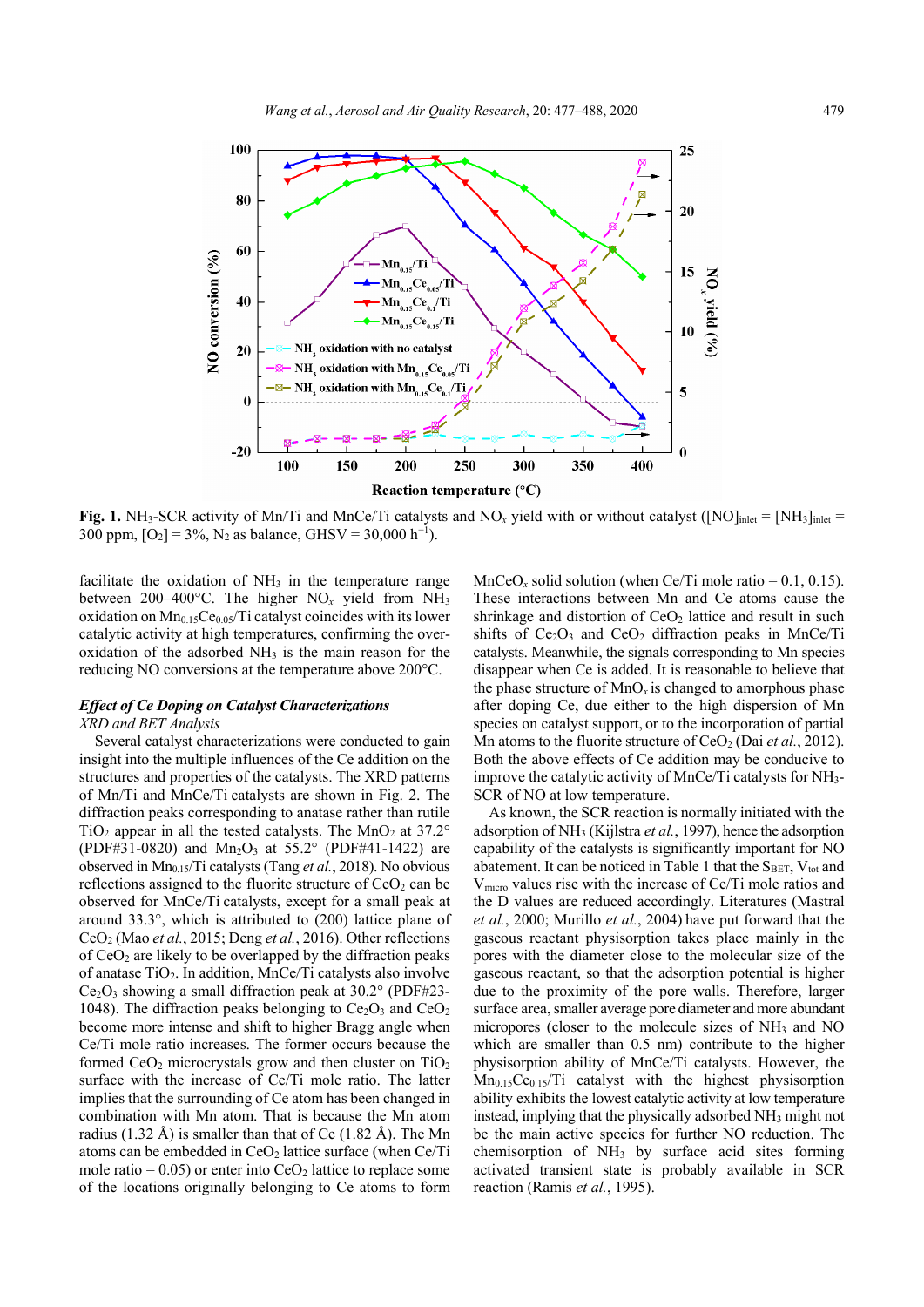

**Fig. 1.** NH<sub>3</sub>-SCR activity of Mn/Ti and MnCe/Ti catalysts and NO<sub>x</sub> yield with or without catalyst ([NO]<sub>inlet</sub> = [NH<sub>3</sub>]<sub>inlet</sub> 300 ppm,  $[O_2] = 3\%, N_2$  as balance, GHSV = 30,000 h<sup>-1</sup>).

facilitate the oxidation of NH<sub>3</sub> in the temperature range between 200–400°C. The higher  $NO<sub>x</sub>$  yield from  $NH<sub>3</sub>$ oxidation on  $Mn_{0.15}Ce<sub>0.05</sub>/Ti$  catalyst coincides with its lower catalytic activity at high temperatures, confirming the overoxidation of the adsorbed  $NH<sub>3</sub>$  is the main reason for the reducing NO conversions at the temperature above 200°C.

## *Effect of Ce Doping on Catalyst Characterizations XRD and BET Analysis*

Several catalyst characterizations were conducted to gain insight into the multiple influences of the Ce addition on the structures and properties of the catalysts. The XRD patterns of Mn/Ti and MnCe/Ti catalysts are shown in Fig. 2. The diffraction peaks corresponding to anatase rather than rutile TiO<sub>2</sub> appear in all the tested catalysts. The MnO<sub>2</sub> at  $37.2^{\circ}$ (PDF#31-0820) and  $Mn_2O_3$  at 55.2° (PDF#41-1422) are observed in Mn<sub>0.15</sub>/Ti catalysts (Tang *et al.*, 2018). No obvious reflections assigned to the fluorite structure of  $CeO<sub>2</sub>$  can be observed for MnCe/Ti catalysts, except for a small peak at around 33.3°, which is attributed to (200) lattice plane of CeO2 (Mao *et al.*, 2015; Deng *et al.*, 2016). Other reflections of  $CeO<sub>2</sub>$  are likely to be overlapped by the diffraction peaks of anatase  $TiO<sub>2</sub>$ . In addition, MnCe/Ti catalysts also involve  $Ce<sub>2</sub>O<sub>3</sub>$  showing a small diffraction peak at 30.2° (PDF#23-1048). The diffraction peaks belonging to  $Ce<sub>2</sub>O<sub>3</sub>$  and  $CeO<sub>2</sub>$ become more intense and shift to higher Bragg angle when Ce/Ti mole ratio increases. The former occurs because the formed CeO<sub>2</sub> microcrystals grow and then cluster on TiO<sub>2</sub> surface with the increase of Ce/Ti mole ratio. The latter implies that the surrounding of Ce atom has been changed in combination with Mn atom. That is because the Mn atom radius (1.32 Å) is smaller than that of Ce (1.82 Å). The Mn atoms can be embedded in  $CeO<sub>2</sub>$  lattice surface (when  $Ce/Ti$ mole ratio =  $0.05$ ) or enter into CeO<sub>2</sub> lattice to replace some of the locations originally belonging to Ce atoms to form  $MnCeO<sub>x</sub>$  solid solution (when Ce/Ti mole ratio = 0.1, 0.15). These interactions between Mn and Ce atoms cause the shrinkage and distortion of  $CeO<sub>2</sub>$  lattice and result in such shifts of  $Ce<sub>2</sub>O<sub>3</sub>$  and  $CeO<sub>2</sub>$  diffraction peaks in MnCe/Ti catalysts. Meanwhile, the signals corresponding to Mn species disappear when Ce is added. It is reasonable to believe that the phase structure of  $MnO_x$  is changed to amorphous phase after doping Ce, due either to the high dispersion of Mn species on catalyst support, or to the incorporation of partial Mn atoms to the fluorite structure of CeO<sub>2</sub> (Dai *et al.*, 2012). Both the above effects of Ce addition may be conducive to improve the catalytic activity of MnCe/Ti catalysts for NH3- SCR of NO at low temperature.

As known, the SCR reaction is normally initiated with the adsorption of NH3 (Kijlstra *et al.*, 1997), hence the adsorption capability of the catalysts is significantly important for NO abatement. It can be noticed in Table 1 that the  $S_{BET}$ ,  $V_{tot}$  and  $V_{micro}$  values rise with the increase of Ce/Ti mole ratios and the D values are reduced accordingly. Literatures (Mastral *et al.*, 2000; Murillo *et al.*, 2004) have put forward that the gaseous reactant physisorption takes place mainly in the pores with the diameter close to the molecular size of the gaseous reactant, so that the adsorption potential is higher due to the proximity of the pore walls. Therefore, larger surface area, smaller average pore diameter and more abundant micropores (closer to the molecule sizes of  $NH<sub>3</sub>$  and NO which are smaller than 0.5 nm) contribute to the higher physisorption ability of MnCe/Ti catalysts. However, the  $Mn<sub>0.15</sub>Ce<sub>0.15</sub>/Ti$  catalyst with the highest physisorption ability exhibits the lowest catalytic activity at low temperature instead, implying that the physically adsorbed NH3 might not be the main active species for further NO reduction. The chemisorption of  $NH<sub>3</sub>$  by surface acid sites forming activated transient state is probably available in SCR reaction (Ramis *et al.*, 1995).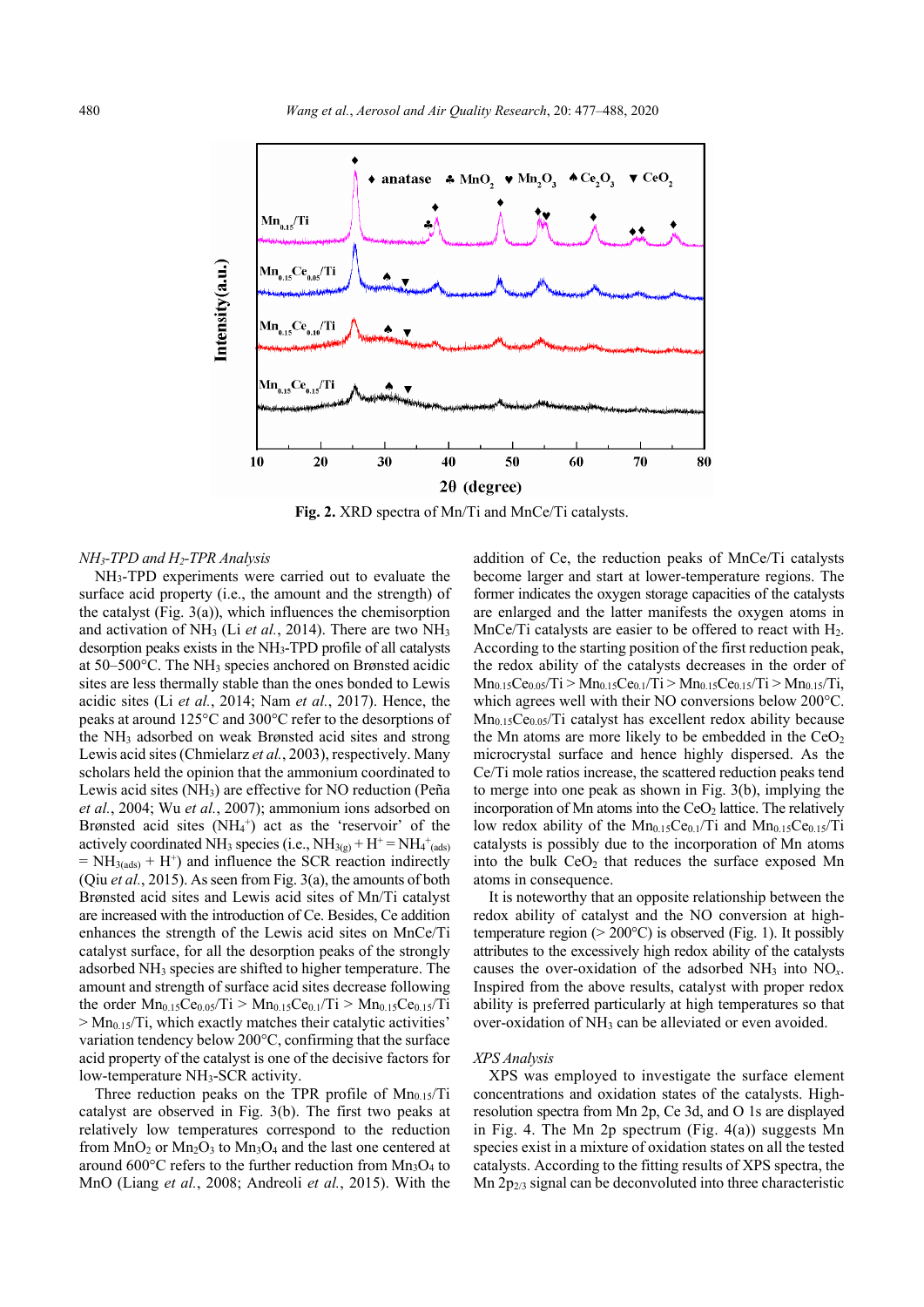

**Fig. 2.** XRD spectra of Mn/Ti and MnCe/Ti catalysts.

#### *NH3-TPD and H2-TPR Analysis*

NH3-TPD experiments were carried out to evaluate the surface acid property (i.e., the amount and the strength) of the catalyst (Fig. 3(a)), which influences the chemisorption and activation of NH<sub>3</sub> (Li *et al.*, 2014). There are two NH<sub>3</sub> desorption peaks exists in the NH3-TPD profile of all catalysts at 50–500°C. The NH3 species anchored on Brønsted acidic sites are less thermally stable than the ones bonded to Lewis acidic sites (Li *et al.*, 2014; Nam *et al.*, 2017). Hence, the peaks at around 125°C and 300°C refer to the desorptions of the NH3 adsorbed on weak Brønsted acid sites and strong Lewis acid sites (Chmielarz *et al.*, 2003), respectively. Many scholars held the opinion that the ammonium coordinated to Lewis acid sites (NH3) are effective for NO reduction (Peña *et al.*, 2004; Wu *et al.*, 2007); ammonium ions adsorbed on Brønsted acid sites  $(NH<sub>4</sub><sup>+</sup>)$  act as the 'reservoir' of the actively coordinated NH<sub>3</sub> species (i.e.,  $NH_{3(g)} + H^+ = NH_4^+(a_0a_0)$  $= NH<sub>3(ads)</sub> + H<sup>+</sup>$  and influence the SCR reaction indirectly (Qiu *et al.*, 2015). As seen from Fig. 3(a), the amounts of both Brønsted acid sites and Lewis acid sites of Mn/Ti catalyst are increased with the introduction of Ce. Besides, Ce addition enhances the strength of the Lewis acid sites on MnCe/Ti catalyst surface, for all the desorption peaks of the strongly adsorbed NH3 species are shifted to higher temperature. The amount and strength of surface acid sites decrease following the order  $Mn_{0.15}Ce_{0.05}/Ti$  >  $Mn_{0.15}Ce_{0.1}/Ti$  >  $Mn_{0.15}Ce_{0.15}/Ti$  $> Mn<sub>0.15</sub>/Ti$ , which exactly matches their catalytic activities' variation tendency below 200°C, confirming that the surface acid property of the catalyst is one of the decisive factors for low-temperature NH<sub>3</sub>-SCR activity.

Three reduction peaks on the TPR profile of  $Mn_{0.15}/Ti$ catalyst are observed in Fig. 3(b). The first two peaks at relatively low temperatures correspond to the reduction from  $MnO_2$  or  $Mn_2O_3$  to  $Mn_3O_4$  and the last one centered at around  $600^{\circ}$ C refers to the further reduction from Mn<sub>3</sub>O<sub>4</sub> to MnO (Liang *et al.*, 2008; Andreoli *et al.*, 2015). With the

addition of Ce, the reduction peaks of MnCe/Ti catalysts become larger and start at lower-temperature regions. The former indicates the oxygen storage capacities of the catalysts are enlarged and the latter manifests the oxygen atoms in MnCe/Ti catalysts are easier to be offered to react with  $H_2$ . According to the starting position of the first reduction peak, the redox ability of the catalysts decreases in the order of  $Mn_{0.15}Ce_{0.05}/Ti > Mn_{0.15}Ce_{0.1}/Ti > Mn_{0.15}Ce_{0.15}/Ti > Mn_{0.15}/Ti$ , which agrees well with their NO conversions below 200°C.  $Mn<sub>0.15</sub>Ce<sub>0.05</sub>/Ti$  catalyst has excellent redox ability because the Mn atoms are more likely to be embedded in the  $CeO<sub>2</sub>$ microcrystal surface and hence highly dispersed. As the Ce/Ti mole ratios increase, the scattered reduction peaks tend to merge into one peak as shown in Fig. 3(b), implying the incorporation of Mn atoms into the  $CeO<sub>2</sub>$  lattice. The relatively low redox ability of the  $Mn_{0.15}Ce_{0.1}/Ti$  and  $Mn_{0.15}Ce_{0.15}/Ti$ catalysts is possibly due to the incorporation of Mn atoms into the bulk  $CeO<sub>2</sub>$  that reduces the surface exposed Mn atoms in consequence.

It is noteworthy that an opposite relationship between the redox ability of catalyst and the NO conversion at hightemperature region ( $> 200^{\circ}$ C) is observed (Fig. 1). It possibly attributes to the excessively high redox ability of the catalysts causes the over-oxidation of the adsorbed NH3 into NO*x*. Inspired from the above results, catalyst with proper redox ability is preferred particularly at high temperatures so that over-oxidation of NH<sub>3</sub> can be alleviated or even avoided.

#### *XPS Analysis*

XPS was employed to investigate the surface element concentrations and oxidation states of the catalysts. Highresolution spectra from Mn 2p, Ce 3d, and O 1s are displayed in Fig. 4. The Mn  $2p$  spectrum (Fig. 4(a)) suggests Mn species exist in a mixture of oxidation states on all the tested catalysts. According to the fitting results of XPS spectra, the  $Mn 2p<sub>2/3</sub>$  signal can be deconvoluted into three characteristic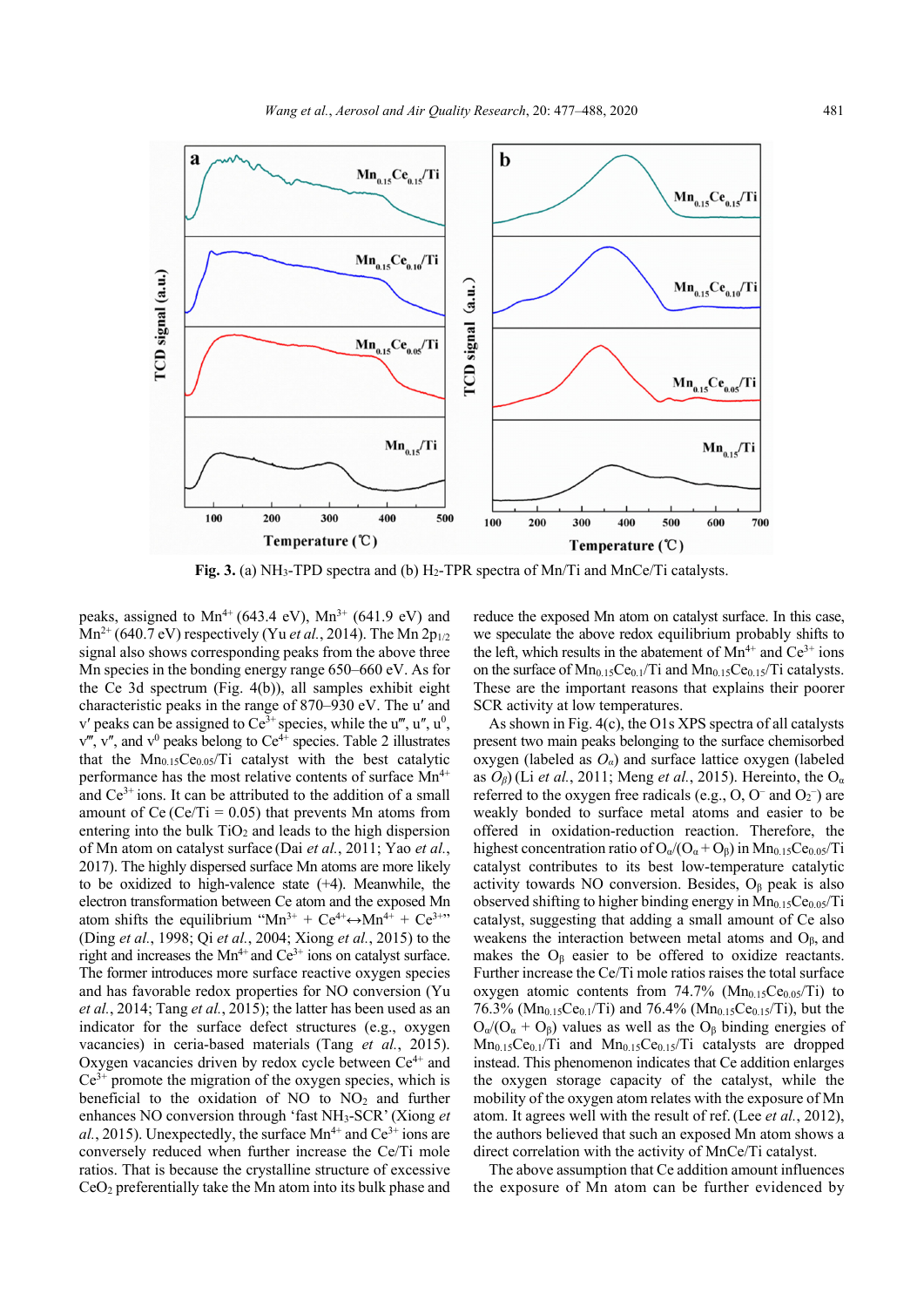

Fig. 3. (a) NH<sub>3</sub>-TPD spectra and (b) H<sub>2</sub>-TPR spectra of Mn/Ti and MnCe/Ti catalysts.

peaks, assigned to  $Mn^{4+}$  (643.4 eV),  $Mn^{3+}$  (641.9 eV) and  $Mn^{2+}$  (640.7 eV) respectively (Yu *et al.*, 2014). The Mn 2p<sub>1/2</sub> signal also shows corresponding peaks from the above three Mn species in the bonding energy range 650–660 eV. As for the Ce 3d spectrum (Fig. 4(b)), all samples exhibit eight characteristic peaks in the range of 870–930 eV. The uʹ and v' peaks can be assigned to Ce<sup>3+</sup> species, while the u''', u'', u<sup>0</sup>,  $v''$ , v'', and  $v^0$  peaks belong to  $Ce^{4+}$  species. Table 2 illustrates that the  $Mn_{0.15}Ce<sub>0.05</sub>/Ti$  catalyst with the best catalytic performance has the most relative contents of surface  $Mn^{4+}$ and  $Ce^{3+}$  ions. It can be attributed to the addition of a small amount of Ce (Ce/Ti =  $0.05$ ) that prevents Mn atoms from entering into the bulk  $TiO<sub>2</sub>$  and leads to the high dispersion of Mn atom on catalyst surface (Dai *et al.*, 2011; Yao *et al.*, 2017). The highly dispersed surface Mn atoms are more likely to be oxidized to high-valence state (+4). Meanwhile, the electron transformation between Ce atom and the exposed Mn atom shifts the equilibrium "Mn<sup>3+</sup> + Ce<sup>4+</sup> $\leftrightarrow$ Mn<sup>4+</sup> + Ce<sup>3+</sup>" (Ding *et al.*, 1998; Qi *et al.*, 2004; Xiong *et al.*, 2015) to the right and increases the  $Mn^{4+}$  and  $Ce^{3+}$  ions on catalyst surface. The former introduces more surface reactive oxygen species and has favorable redox properties for NO conversion (Yu *et al.*, 2014; Tang *et al.*, 2015); the latter has been used as an indicator for the surface defect structures (e.g., oxygen vacancies) in ceria-based materials (Tang *et al.*, 2015). Oxygen vacancies driven by redox cycle between  $Ce<sup>4+</sup>$  and  $Ce^{3+}$  promote the migration of the oxygen species, which is beneficial to the oxidation of NO to  $NO<sub>2</sub>$  and further enhances NO conversion through 'fast NH3-SCR'(Xiong *et*   $al.$ , 2015). Unexpectedly, the surface  $Mn^{4+}$  and  $Ce^{3+}$  ions are conversely reduced when further increase the Ce/Ti mole ratios. That is because the crystalline structure of excessive CeO2 preferentially take the Mn atom into its bulk phase and

reduce the exposed Mn atom on catalyst surface. In this case, we speculate the above redox equilibrium probably shifts to the left, which results in the abatement of  $Mn^{4+}$  and  $Ce^{3+}$  ions on the surface of  $Mn_{0.15}Ce_{0.1}/Ti$  and  $Mn_{0.15}Ce_{0.15}/Ti$  catalysts. These are the important reasons that explains their poorer SCR activity at low temperatures.

As shown in Fig. 4(c), the O1s XPS spectra of all catalysts present two main peaks belonging to the surface chemisorbed oxygen (labeled as *Oα*) and surface lattice oxygen (labeled as *O<sub>β</sub>*) (Li *et al.*, 2011; Meng *et al.*, 2015). Hereinto, the O<sub>α</sub> referred to the oxygen free radicals (e.g.,  $O$ ,  $O<sup>-</sup>$  and  $O<sub>2</sub><sup>-</sup>$ ) are weakly bonded to surface metal atoms and easier to be offered in oxidation-reduction reaction. Therefore, the highest concentration ratio of  $O_{\alpha}/(O_{\alpha}+O_{\beta})$  in  $Mn_{0.15}Ce_{0.05}/Ti$ catalyst contributes to its best low-temperature catalytic activity towards NO conversion. Besides,  $O<sub>β</sub>$  peak is also observed shifting to higher binding energy in  $Mn_{0.15}Ce<sub>0.05</sub>/Ti$ catalyst, suggesting that adding a small amount of Ce also weakens the interaction between metal atoms and  $O_\beta$ , and makes the  $O_\beta$  easier to be offered to oxidize reactants. Further increase the Ce/Ti mole ratios raises the total surface oxygen atomic contents from 74.7% ( $Mn_{0.15}Ce<sub>0.05</sub>/Ti$ ) to 76.3% ( $Mn_{0.15}Ce<sub>0.1</sub>/Ti$ ) and 76.4% ( $Mn_{0.15}Ce<sub>0.15</sub>/Ti$ ), but the  $O_{\alpha}/(O_{\alpha} + O_{\beta})$  values as well as the  $O_{\beta}$  binding energies of  $Mn_{0.15}Ce_{0.1}/Ti$  and  $Mn_{0.15}Ce_{0.15}/Ti$  catalysts are dropped instead. This phenomenon indicates that Ce addition enlarges the oxygen storage capacity of the catalyst, while the mobility of the oxygen atom relates with the exposure of Mn atom. It agrees well with the result of ref.(Lee *et al.*, 2012), the authors believed that such an exposed Mn atom shows a direct correlation with the activity of MnCe/Ti catalyst.

The above assumption that Ce addition amount influences the exposure of Mn atom can be further evidenced by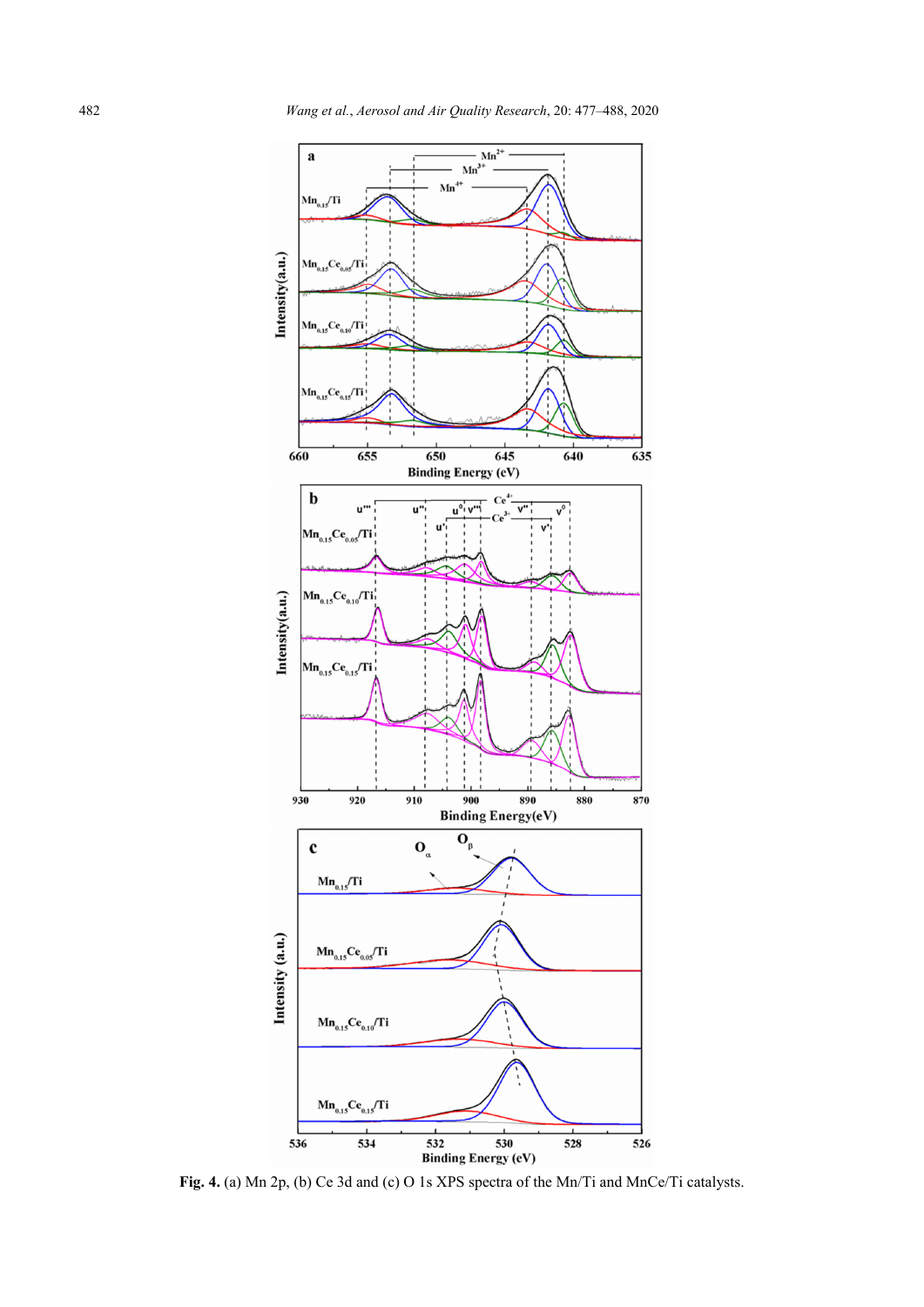

**Fig. 4.** (a) Mn 2p, (b) Ce 3d and (c) O 1s XPS spectra of the Mn/Ti and MnCe/Ti catalysts.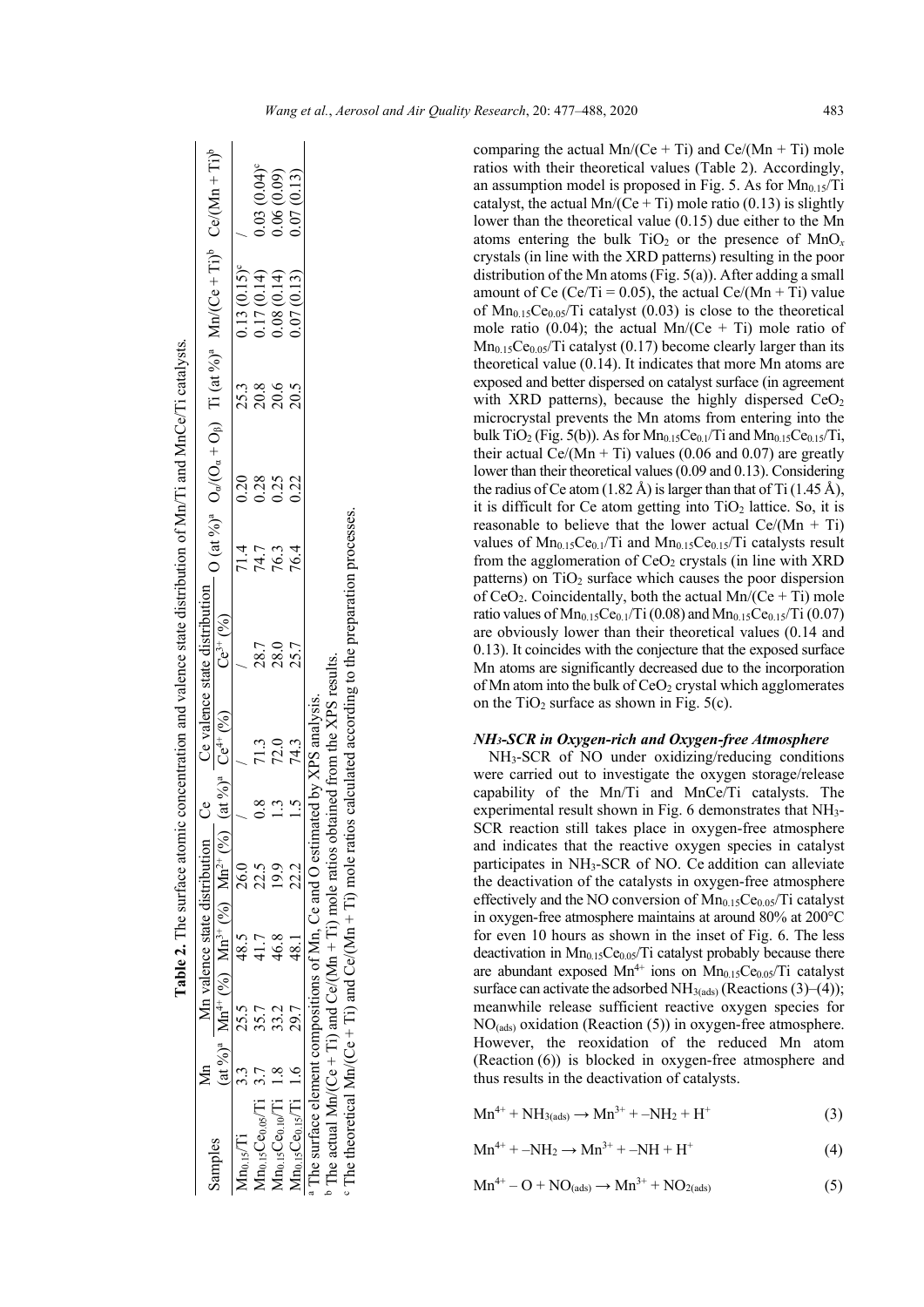|                                                                                                     |                                                                                   |                               |      |                           | Table 2. The surface atomic concentration and valence state distribution of Mn/Ti and MnCe/Ti catalysts.                                               |      |      |                                      |                      |                  |
|-----------------------------------------------------------------------------------------------------|-----------------------------------------------------------------------------------|-------------------------------|------|---------------------------|--------------------------------------------------------------------------------------------------------------------------------------------------------|------|------|--------------------------------------|----------------------|------------------|
|                                                                                                     |                                                                                   | Mn valence state distribution |      |                           | Ce valence state distribution $O$ (at %) <sup>a</sup> $O_a/(O_a + O_\beta)$ Ti (at %) <sup>a</sup> Mn/(Ce + Ti) <sup>b</sup> Ce/(Mn + Ti) <sup>b</sup> |      |      |                                      |                      |                  |
| Samples                                                                                             | at %) <sup>a</sup> Mn <sup>4+</sup> (%) Mn <sup>3+</sup> (%) Mn <sup>2+</sup> (%) |                               |      | $(at \%)^a$ $Ce^{4+} (%)$ | $Ce^{3+} (%)$                                                                                                                                          |      |      |                                      |                      |                  |
| $Mn_{0.15}/Ti$                                                                                      |                                                                                   | 48.5                          |      |                           |                                                                                                                                                        | 71.4 | 0.20 |                                      | $0.13(0.15)^{\circ}$ |                  |
| $4n_{0.15}Ce0.05/Ti$ 3.7                                                                            |                                                                                   |                               | 22.5 | 71.3                      | 28.7                                                                                                                                                   | 74.7 | 0.28 |                                      | 0.17(0.14)           | $0.03(0.04)^{c}$ |
| $Mn0.15Ce0.10/Ti 1.4$                                                                               |                                                                                   | 46.8                          |      | 72.0                      | 28.0                                                                                                                                                   | 76.3 | 0.25 | 3<br>8<br>8<br>8<br>8<br>8<br>8<br>8 | 0.08(0.14)           | 0.06(0.09)       |
| $\Lambda$ n <sub>0.15</sub> $Ce0.15/Ti$ 1.6                                                         |                                                                                   | 48.1                          | 22.2 | 74.3                      | 25.7                                                                                                                                                   | 76.4 | 0.22 |                                      | 0.07(0.13)           | 0.07(0.13)       |
| <sup>a</sup> The surface element compositions of Mn, Ce and O estimated by XPS analysis.            |                                                                                   |                               |      |                           |                                                                                                                                                        |      |      |                                      |                      |                  |
| $\Gamma$ The actual Mp (Ce $\mu$ Ti) and Ce (Mp $\pm$ Ti) mole ratios obtained from the XPS results |                                                                                   |                               |      |                           |                                                                                                                                                        |      |      |                                      |                      |                  |

 $b$  The actual Mn/(Ce + Ti) and Ce/(Mn + Ti) mole ratios obtained from the XPS results. The Fairless collation in the VLS results. The actual MD/( $Ce + 11$ ) and  $Ce/(Mn +$ 

 $c$  The theoretical Mn/(Ce + Ti) and Ce/(Mn + Ti) mole ratios calculated according to the preparation processes.  $\degree$  The theoretical Mn/(Ce + Ti) and Ce/(Mn + Ti) mole ratios calculated according to the preparation processes. comparing the actual  $Mn/(Ce + Ti)$  and  $Ce/(Mn + Ti)$  mole ratios with their theoretical values (Table 2). Accordingly, an assumption model is proposed in Fig. 5. As for  $Mn_{0.15}/Ti$ catalyst, the actual Mn/(Ce + Ti) mole ratio (0.13) is slightly lower than the theoretical value (0.15) due either to the Mn atoms entering the bulk  $TiO<sub>2</sub>$  or the presence of  $MnO<sub>x</sub>$ crystals (in line with the XRD patterns) resulting in the poor distribution of the Mn atoms (Fig. 5(a)). After adding a small amount of Ce (Ce/Ti = 0.05), the actual Ce/(Mn + Ti) value of  $Mn_{0.15}Ce<sub>0.05</sub>/Ti$  catalyst (0.03) is close to the theoretical mole ratio (0.04); the actual Mn/(Ce + Ti) mole ratio of  $Mn_{0.15}Ce<sub>0.05</sub>/Ti$  catalyst (0.17) become clearly larger than its theoretical value (0.14). It indicates that more Mn atoms are exposed and better dispersed on catalyst surface (in agreement with XRD patterns), because the highly dispersed  $CeO<sub>2</sub>$ microcrystal prevents the Mn atoms from entering into the bulk TiO<sub>2</sub> (Fig. 5(b)). As for  $Mn<sub>0.15</sub>Ce<sub>0.1</sub>/Ti$  and  $Mn<sub>0.15</sub>Ce<sub>0.15</sub>/Ti$ , their actual Ce/(Mn + Ti) values (0.06 and 0.07) are greatly lower than their theoretical values (0.09 and 0.13). Considering the radius of Ce atom (1.82 Å) is larger than that of Ti (1.45 Å), it is difficult for Ce atom getting into  $TiO<sub>2</sub>$  lattice. So, it is reasonable to believe that the lower actual  $Ce/(Mn + Ti)$ values of  $Mn_{0.15}Ce_{0.1}/Ti$  and  $Mn_{0.15}Ce_{0.15}/Ti$  catalysts result from the agglomeration of  $CeO<sub>2</sub>$  crystals (in line with XRD patterns) on  $TiO<sub>2</sub>$  surface which causes the poor dispersion of  $CeO<sub>2</sub>$ . Coincidentally, both the actual Mn/(Ce + Ti) mole ratio values of  $Mn_{0.15}Ce_{0.1}/Ti$  (0.08) and  $Mn_{0.15}Ce_{0.15}/Ti$  (0.07) are obviously lower than their theoretical values (0.14 and 0.13). It coincides with the conjecture that the exposed surface Mn atoms are significantly decreased due to the incorporation of Mn atom into the bulk of CeO<sub>2</sub> crystal which agglomerates on the  $TiO<sub>2</sub>$  surface as shown in Fig. 5(c).

## *NH3-SCR in Oxygen-rich and Oxygen-free Atmosphere*

NH3-SCR of NO under oxidizing/reducing conditions were carried out to investigate the oxygen storage/release capability of the Mn/Ti and MnCe/Ti catalysts. The experimental result shown in Fig. 6 demonstrates that NH3- SCR reaction still takes place in oxygen-free atmosphere and indicates that the reactive oxygen species in catalyst participates in NH3-SCR of NO. Ce addition can alleviate the deactivation of the catalysts in oxygen-free atmosphere effectively and the NO conversion of  $Mn_{0.15}Ce<sub>0.05</sub>/Ti$  catalyst in oxygen-free atmosphere maintains at around 80% at 200°C for even 10 hours as shown in the inset of Fig. 6. The less deactivation in  $Mn<sub>0.15</sub>Ce<sub>0.05</sub>/Ti$  catalyst probably because there are abundant exposed  $Mn^{4+}$  ions on  $Mn_{0.15}Ce<sub>0.05</sub>/Ti$  catalyst surface can activate the adsorbed  $NH<sub>3(ads)</sub>$  (Reactions (3)–(4)); meanwhile release sufficient reactive oxygen species for NO(ads) oxidation (Reaction (5)) in oxygen-free atmosphere. However, the reoxidation of the reduced Mn atom (Reaction (6)) is blocked in oxygen-free atmosphere and thus results in the deactivation of catalysts.

 $Mn^{4+} + NH_{3(ads)} \rightarrow Mn^{3+} + -NH_2 + H^+$  (3)

$$
\text{Mn}^{4+} + -\text{NH}_2 \rightarrow \text{Mn}^{3+} + -\text{NH} + \text{H}^+ \tag{4}
$$

$$
Mn^{4+} - O + NO(ads) \rightarrow Mn^{3+} + NO2(ads)
$$
 (5)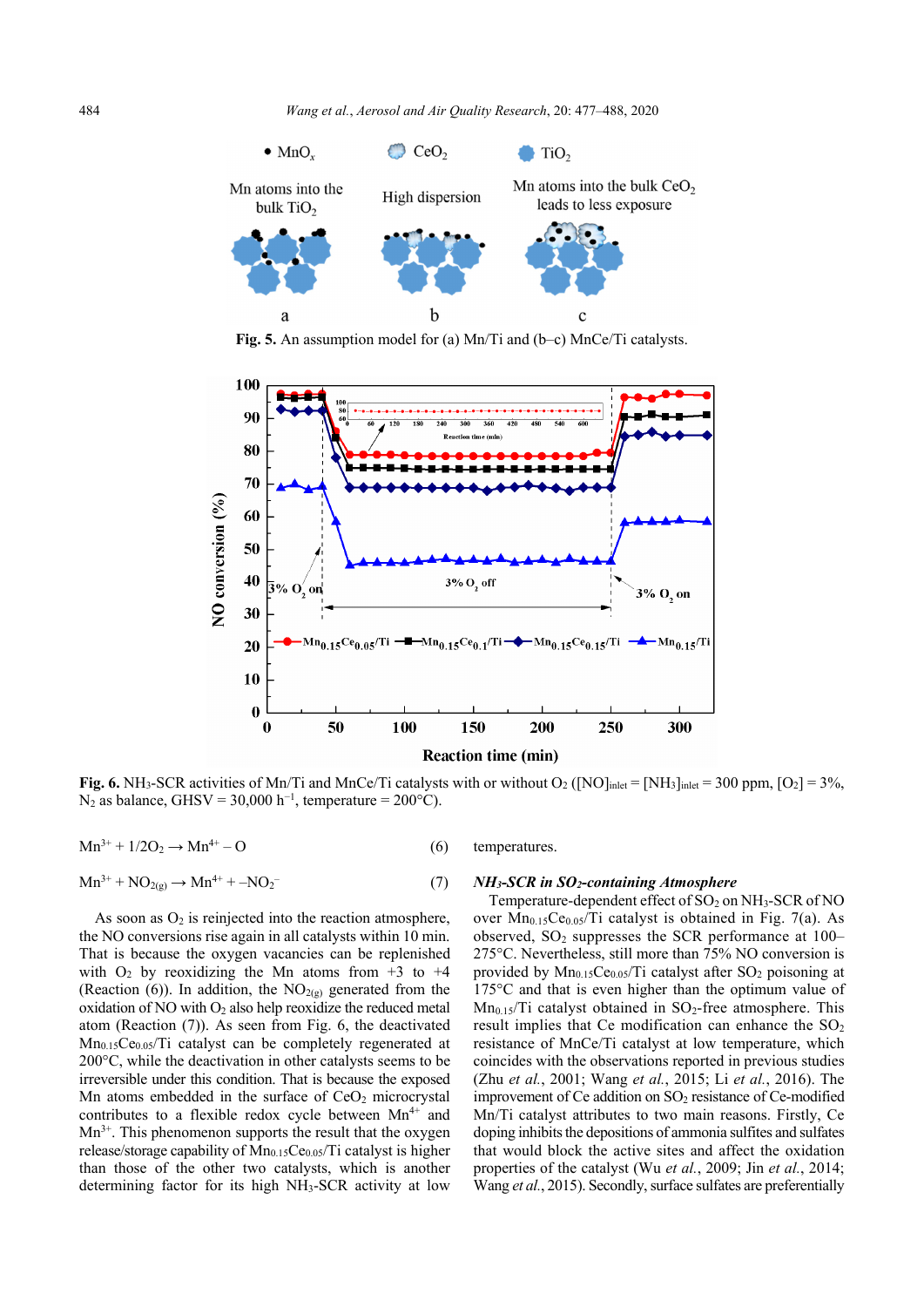

**Fig. 5.** An assumption model for (a) Mn/Ti and (b–c) MnCe/Ti catalysts.



**Fig. 6.** NH<sub>3</sub>-SCR activities of Mn/Ti and MnCe/Ti catalysts with or without  $O_2$  ([NO]<sub>inlet</sub> = [NH<sub>3</sub>]<sub>inlet</sub> = 300 ppm, [O<sub>2</sub>] = 3%,  $N_2$  as balance, GHSV = 30,000 h<sup>-1</sup>, temperature = 200°C).

 $Mn^{3+} + 1/2O_2 \rightarrow Mn^{4+} - O$  (6)

$$
\mathrm{Mn}^{3+} + \mathrm{NO}_{2(g)} \to \mathrm{Mn}^{4+} + -\mathrm{NO}_2^{-} \tag{7}
$$

As soon as  $O_2$  is reinjected into the reaction atmosphere, the NO conversions rise again in all catalysts within 10 min. That is because the oxygen vacancies can be replenished with  $O_2$  by reoxidizing the Mn atoms from  $+3$  to  $+4$ (Reaction (6)). In addition, the  $NO<sub>2(g)</sub>$  generated from the oxidation of NO with  $O_2$  also help reoxidize the reduced metal atom (Reaction (7)). As seen from Fig. 6, the deactivated  $Mn<sub>0.15</sub>Ce<sub>0.05</sub>/Ti$  catalyst can be completely regenerated at 200°C, while the deactivation in other catalysts seems to be irreversible under this condition. That is because the exposed Mn atoms embedded in the surface of  $CeO<sub>2</sub>$  microcrystal contributes to a flexible redox cycle between  $Mn^{4+}$  and  $Mn^{3+}$ . This phenomenon supports the result that the oxygen release/storage capability of  $Mn<sub>0.15</sub>Ce<sub>0.05</sub>/Ti$  catalyst is higher than those of the other two catalysts, which is another determining factor for its high NH3-SCR activity at low

# temperatures.

#### *NH3-SCR in SO2-containing Atmosphere*

Temperature-dependent effect of  $SO_2$  on  $NH_3$ -SCR of NO over  $Mn_{0.15}Ce<sub>0.05</sub>/Ti$  catalyst is obtained in Fig. 7(a). As observed,  $SO_2$  suppresses the SCR performance at  $100-$ 275°C. Nevertheless, still more than 75% NO conversion is provided by  $Mn_{0.15}Ce<sub>0.05</sub>/Ti$  catalyst after  $SO<sub>2</sub>$  poisoning at 175°C and that is even higher than the optimum value of  $Mn<sub>0.15</sub>/Ti$  catalyst obtained in SO<sub>2</sub>-free atmosphere. This result implies that Ce modification can enhance the  $SO_2$ resistance of MnCe/Ti catalyst at low temperature, which coincides with the observations reported in previous studies (Zhu *et al.*, 2001; Wang *et al.*, 2015; Li *et al.*, 2016). The improvement of Ce addition on SO<sub>2</sub> resistance of Ce-modified Mn/Ti catalyst attributes to two main reasons. Firstly, Ce doping inhibits the depositions of ammonia sulfites and sulfates that would block the active sites and affect the oxidation properties of the catalyst (Wu *et al.*, 2009; Jin *et al.*, 2014; Wang *et al.*, 2015). Secondly, surface sulfates are preferentially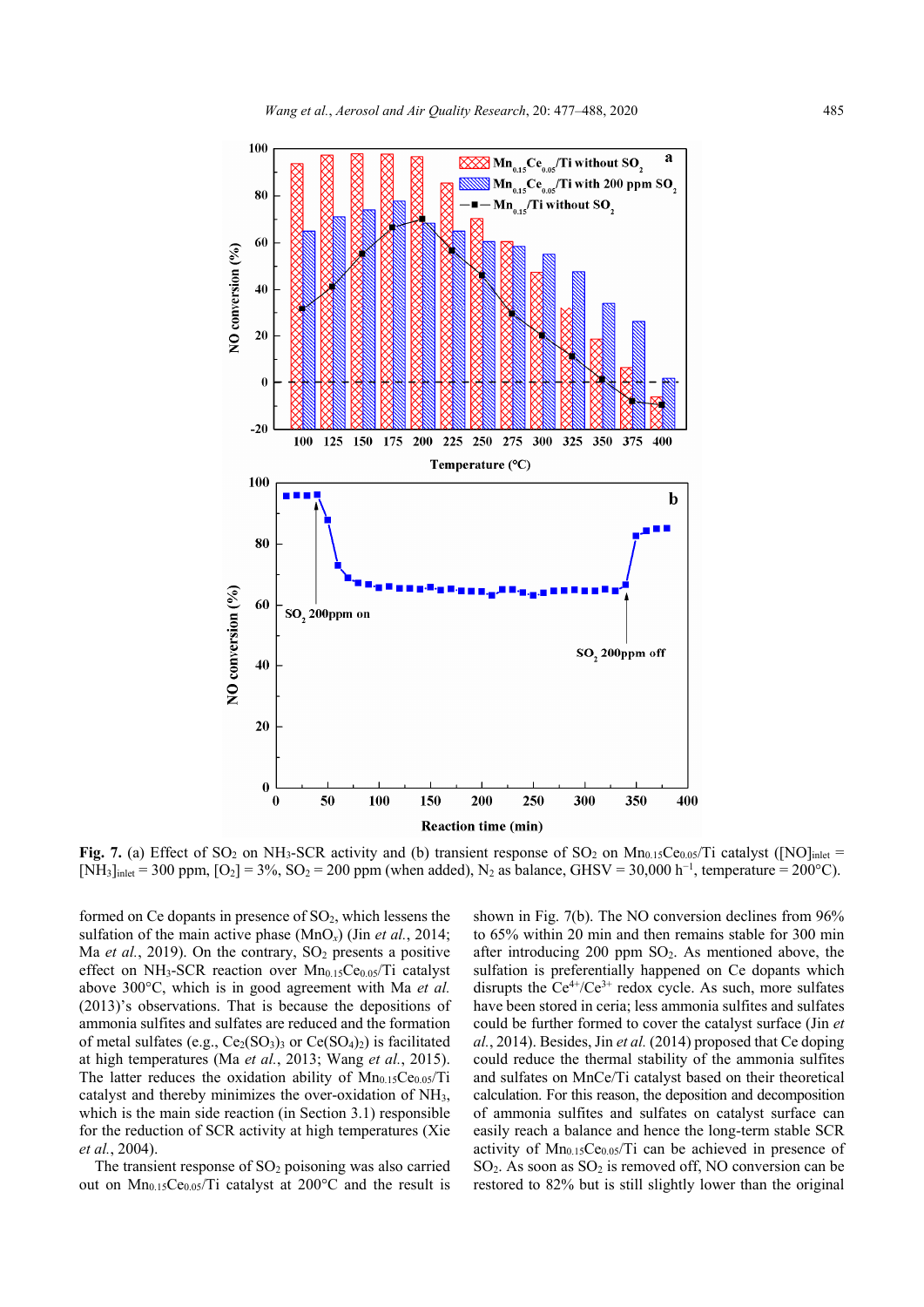

**Fig. 7.** (a) Effect of SO<sub>2</sub> on NH<sub>3</sub>-SCR activity and (b) transient response of SO<sub>2</sub> on Mn<sub>0.15</sub>Ce<sub>0.05</sub>/Ti catalyst ([NO]<sub>inlet</sub> = [NH<sub>3</sub>]<sub>inlet</sub> = 300 ppm, [O<sub>2</sub>] = 3%, SO<sub>2</sub> = 200 ppm (when added), N<sub>2</sub> as balance, GHSV = 30,000 h<sup>-1</sup>, temperature = 200°C).

formed on Ce dopants in presence of  $SO<sub>2</sub>$ , which lessens the sulfation of the main active phase (MnO*x*) (Jin *et al.*, 2014; Ma *et al.*, 2019). On the contrary,  $SO<sub>2</sub>$  presents a positive effect on NH<sub>3</sub>-SCR reaction over  $Mn_{0.15}Ce<sub>0.05</sub>/Ti$  catalyst above 300°C, which is in good agreement with Ma *et al.* (2013)'s observations. That is because the depositions of ammonia sulfites and sulfates are reduced and the formation of metal sulfates (e.g.,  $Ce_2(SO_3)$ ) or  $Ce(SO_4)_2$ ) is facilitated at high temperatures (Ma *et al.*, 2013; Wang *et al.*, 2015). The latter reduces the oxidation ability of  $Mn_{0.15}Ce<sub>0.05</sub>/Ti$ catalyst and thereby minimizes the over-oxidation of NH3, which is the main side reaction (in Section 3.1) responsible for the reduction of SCR activity at high temperatures (Xie *et al.*, 2004).

The transient response of  $SO<sub>2</sub>$  poisoning was also carried out on  $Mn_{0.15}Ce<sub>0.05</sub>/Ti$  catalyst at 200°C and the result is

shown in Fig. 7(b). The NO conversion declines from 96% to 65% within 20 min and then remains stable for 300 min after introducing 200 ppm  $SO_2$ . As mentioned above, the sulfation is preferentially happened on Ce dopants which disrupts the  $Ce^{4+}/Ce^{3+}$  redox cycle. As such, more sulfates have been stored in ceria; less ammonia sulfites and sulfates could be further formed to cover the catalyst surface (Jin *et al.*, 2014). Besides, Jin *et al.* (2014) proposed that Ce doping could reduce the thermal stability of the ammonia sulfites and sulfates on MnCe/Ti catalyst based on their theoretical calculation. For this reason, the deposition and decomposition of ammonia sulfites and sulfates on catalyst surface can easily reach a balance and hence the long-term stable SCR activity of  $Mn_{0.15}Ce<sub>0.05</sub>/Ti$  can be achieved in presence of  $SO_2$ . As soon as  $SO_2$  is removed off, NO conversion can be restored to 82% but is still slightly lower than the original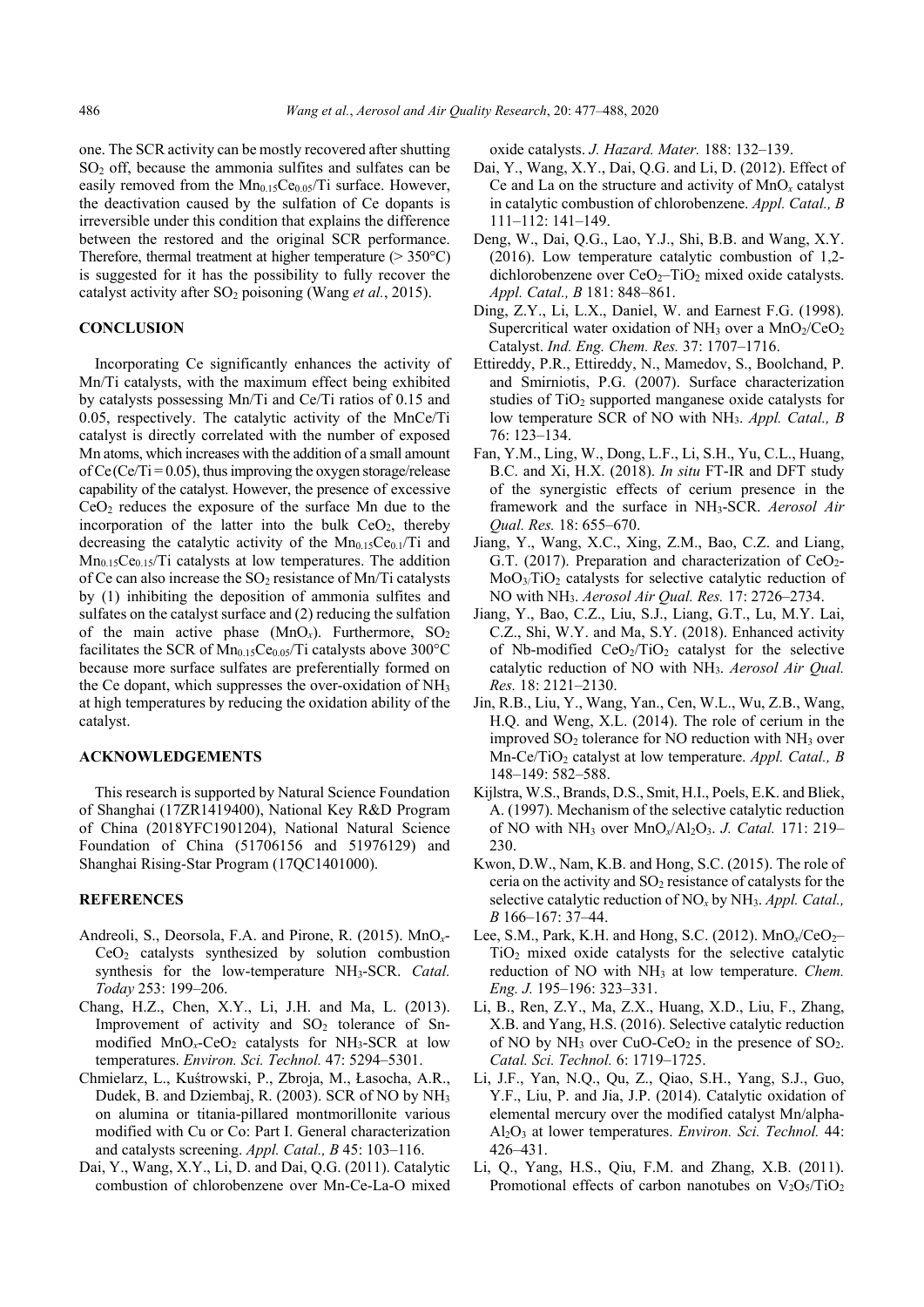one. The SCR activity can be mostly recovered after shutting  $SO<sub>2</sub>$  off, because the ammonia sulfites and sulfates can be easily removed from the  $Mn<sub>0.15</sub>Ce<sub>0.05</sub>/Ti$  surface. However, the deactivation caused by the sulfation of Ce dopants is irreversible under this condition that explains the difference between the restored and the original SCR performance. Therefore, thermal treatment at higher temperature  $(>350^{\circ}C)$ is suggested for it has the possibility to fully recover the catalyst activity after SO<sub>2</sub> poisoning (Wang *et al.*, 2015).

## **CONCLUSION**

Incorporating Ce significantly enhances the activity of Mn/Ti catalysts, with the maximum effect being exhibited by catalysts possessing Mn/Ti and Ce/Ti ratios of 0.15 and 0.05, respectively. The catalytic activity of the MnCe/Ti catalyst is directly correlated with the number of exposed Mn atoms, which increases with the addition of a small amount of Ce(Ce/Ti =  $0.05$ ), thus improving the oxygen storage/release capability of the catalyst. However, the presence of excessive CeO2 reduces the exposure of the surface Mn due to the incorporation of the latter into the bulk  $CeO<sub>2</sub>$ , thereby decreasing the catalytic activity of the  $Mn_{0.15}Ce<sub>0.1</sub>/Ti$  and  $Mn<sub>0.15</sub>Ce<sub>0.15</sub>/Ti$  catalysts at low temperatures. The addition of Ce can also increase the  $SO_2$  resistance of Mn/Ti catalysts by (1) inhibiting the deposition of ammonia sulfites and sulfates on the catalyst surface and (2) reducing the sulfation of the main active phase  $(MnO_x)$ . Furthermore,  $SO_2$ facilitates the SCR of  $Mn_{0.15}Ce_{0.05}/Ti$  catalysts above 300°C because more surface sulfates are preferentially formed on the Ce dopant, which suppresses the over-oxidation of NH3 at high temperatures by reducing the oxidation ability of the catalyst.

## **ACKNOWLEDGEMENTS**

This research is supported by Natural Science Foundation of Shanghai (17ZR1419400), National Key R&D Program of China (2018YFC1901204), National Natural Science Foundation of China (51706156 and 51976129) and Shanghai Rising-Star Program (17QC1401000).

## **REFERENCES**

- Andreoli, S., Deorsola, F.A. and Pirone, R. (2015). MnO*x*- $CeO<sub>2</sub>$  catalysts synthesized by solution combustion synthesis for the low-temperature NH3-SCR. *Catal. Today* 253: 199–206.
- Chang, H.Z., Chen, X.Y., Li, J.H. and Ma, L. (2013). Improvement of activity and  $SO<sub>2</sub>$  tolerance of Snmodified MnO<sub>x</sub>-CeO<sub>2</sub> catalysts for NH<sub>3</sub>-SCR at low temperatures. *Environ. Sci. Technol.* 47: 5294–5301.
- Chmielarz, L., Kuśtrowski, P., Zbroja, M., Łasocha, A.R., Dudek, B. and Dziembaj, R. (2003). SCR of NO by NH3 on alumina or titania-pillared montmorillonite various modified with Cu or Co: Part I. General characterization and catalysts screening. *Appl. Catal., B* 45: 103–116.
- Dai, Y., Wang, X.Y., Li, D. and Dai, Q.G. (2011). Catalytic combustion of chlorobenzene over Mn-Ce-La-O mixed

oxide catalysts. *J. Hazard. Mater.* 188: 132–139.

- Dai, Y., Wang, X.Y., Dai, Q.G. and Li, D. (2012). Effect of Ce and La on the structure and activity of MnO*x* catalyst in catalytic combustion of chlorobenzene. *Appl. Catal., B*  111–112: 141–149.
- Deng, W., Dai, Q.G., Lao, Y.J., Shi, B.B. and Wang, X.Y. (2016). Low temperature catalytic combustion of 1,2 dichlorobenzene over  $CeO<sub>2</sub>$ –TiO<sub>2</sub> mixed oxide catalysts. *Appl. Catal., B* 181: 848–861.
- Ding, Z.Y., Li, L.X., Daniel, W. and Earnest F.G. (1998). Supercritical water oxidation of NH<sub>3</sub> over a  $MnO_2/CeO_2$ Catalyst. *Ind. Eng. Chem. Res.* 37: 1707–1716.
- Ettireddy, P.R., Ettireddy, N., Mamedov, S., Boolchand, P. and Smirniotis, P.G. (2007). Surface characterization studies of  $TiO<sub>2</sub>$  supported manganese oxide catalysts for low temperature SCR of NO with NH3. *Appl. Catal., B* 76: 123–134.
- Fan, Y.M., Ling, W., Dong, L.F., Li, S.H., Yu, C.L., Huang, B.C. and Xi, H.X. (2018). *In situ* FT-IR and DFT study of the synergistic effects of cerium presence in the framework and the surface in NH3-SCR. *Aerosol Air Qual. Res.* 18: 655–670.
- Jiang, Y., Wang, X.C., Xing, Z.M., Bao, C.Z. and Liang, G.T. (2017). Preparation and characterization of  $CeO<sub>2</sub>$ - $MoO<sub>3</sub>/TiO<sub>2</sub>$  catalysts for selective catalytic reduction of NO with NH3. *Aerosol Air Qual. Res.* 17: 2726–2734.
- Jiang, Y., Bao, C.Z., Liu, S.J., Liang, G.T., Lu, M.Y. Lai, C.Z., Shi, W.Y. and Ma, S.Y. (2018). Enhanced activity of Nb-modified  $CeO<sub>2</sub>/TiO<sub>2</sub>$  catalyst for the selective catalytic reduction of NO with NH3. *Aerosol Air Qual. Res.* 18: 2121–2130.
- Jin, R.B., Liu, Y., Wang, Yan., Cen, W.L., Wu, Z.B., Wang, H.Q. and Weng, X.L. (2014). The role of cerium in the improved  $SO_2$  tolerance for NO reduction with NH<sub>3</sub> over Mn-Ce/TiO<sub>2</sub> catalyst at low temperature. *Appl. Catal., B* 148–149: 582–588.
- Kijlstra, W.S., Brands, D.S., Smit, H.I., Poels, E.K. and Bliek, A. (1997). Mechanism of the selective catalytic reduction of NO with NH3 over MnO*x*/Al2O3. *J. Catal.* 171: 219– 230.
- Kwon, D.W., Nam, K.B. and Hong, S.C. (2015). The role of ceria on the activity and  $SO<sub>2</sub>$  resistance of catalysts for the selective catalytic reduction of NO*x* by NH3. *Appl. Catal., B* 166–167: 37–44.
- Lee, S.M., Park, K.H. and Hong, S.C. (2012). MnO<sub>x</sub>/CeO<sub>2</sub>-TiO2 mixed oxide catalysts for the selective catalytic reduction of NO with NH<sub>3</sub> at low temperature. *Chem. Eng. J.* 195–196: 323–331.
- Li, B., Ren, Z.Y., Ma, Z.X., Huang, X.D., Liu, F., Zhang, X.B. and Yang, H.S. (2016). Selective catalytic reduction of NO by  $NH_3$  over CuO-CeO<sub>2</sub> in the presence of SO<sub>2</sub>. *Catal. Sci. Technol.* 6: 1719–1725.
- Li, J.F., Yan, N.Q., Qu, Z., Qiao, S.H., Yang, S.J., Guo, Y.F., Liu, P. and Jia, J.P. (2014). Catalytic oxidation of elemental mercury over the modified catalyst Mn/alpha-Al2O3 at lower temperatures. *Environ. Sci. Technol.* 44: 426–431.
- Li, Q., Yang, H.S., Qiu, F.M. and Zhang, X.B. (2011). Promotional effects of carbon nanotubes on  $V_2O_5/TiO_2$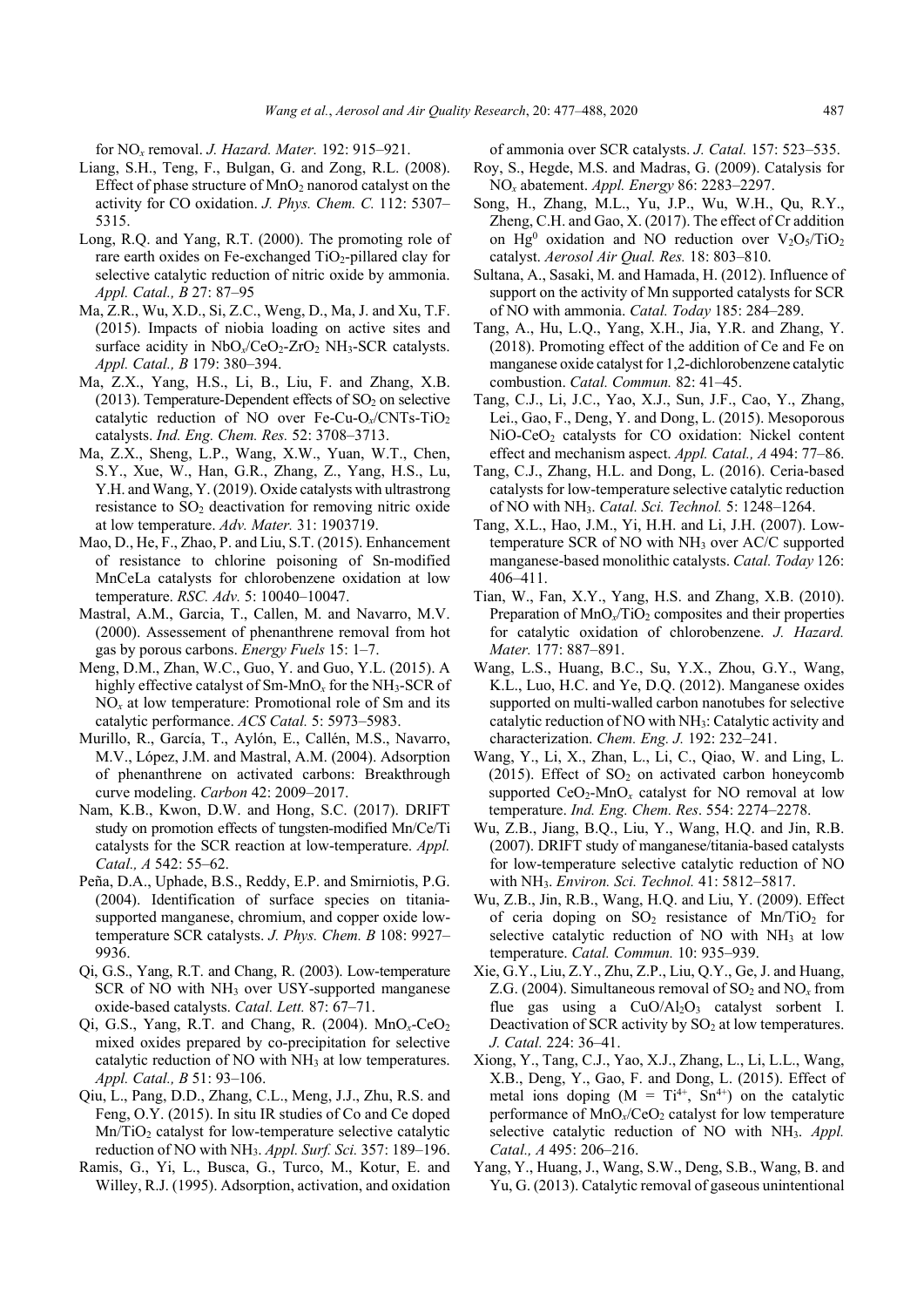for NO*x* removal. *J. Hazard. Mater.* 192: 915–921.

- Liang, S.H., Teng, F., Bulgan, G. and Zong, R.L. (2008). Effect of phase structure of  $MnO<sub>2</sub>$  nanorod catalyst on the activity for CO oxidation. *J. Phys. Chem. C.* 112: 5307– 5315.
- Long, R.Q. and Yang, R.T. (2000). The promoting role of rare earth oxides on Fe-exchanged TiO<sub>2</sub>-pillared clay for selective catalytic reduction of nitric oxide by ammonia. *Appl. Catal., B* 27: 87–95
- Ma, Z.R., Wu, X.D., Si, Z.C., Weng, D., Ma, J. and Xu, T.F. (2015). Impacts of niobia loading on active sites and surface acidity in NbO<sub>x</sub>/CeO<sub>2</sub>-ZrO<sub>2</sub> NH<sub>3</sub>-SCR catalysts. *Appl. Catal., B* 179: 380–394.
- Ma, Z.X., Yang, H.S., Li, B., Liu, F. and Zhang, X.B. (2013). Temperature-Dependent effects of  $SO<sub>2</sub>$  on selective catalytic reduction of NO over Fe-Cu-O<sub>x</sub>/CNTs-TiO<sub>2</sub> catalysts. *Ind. Eng. Chem. Res.* 52: 3708–3713.
- Ma, Z.X., Sheng, L.P., Wang, X.W., Yuan, W.T., Chen, S.Y., Xue, W., Han, G.R., Zhang, Z., Yang, H.S., Lu, Y.H. and Wang, Y. (2019). Oxide catalysts with ultrastrong resistance to  $SO<sub>2</sub>$  deactivation for removing nitric oxide at low temperature. *Adv. Mater.* 31: 1903719.
- Mao, D., He, F., Zhao, P. and Liu, S.T. (2015). Enhancement of resistance to chlorine poisoning of Sn-modified MnCeLa catalysts for chlorobenzene oxidation at low temperature. *RSC. Adv.* 5: 10040–10047.
- Mastral, A.M., Garcia, T., Callen, M. and Navarro, M.V. (2000). Assessement of phenanthrene removal from hot gas by porous carbons. *Energy Fuels* 15: 1–7.
- Meng, D.M., Zhan, W.C., Guo, Y. and Guo, Y.L. (2015). A highly effective catalyst of Sm-MnO*x* for the NH3-SCR of NO*x* at low temperature: Promotional role of Sm and its catalytic performance. *ACS Catal.* 5: 5973–5983.
- Murillo, R., García, T., Aylón, E., Callén, M.S., Navarro, M.V., López, J.M. and Mastral, A.M. (2004). Adsorption of phenanthrene on activated carbons: Breakthrough curve modeling. *Carbon* 42: 2009–2017.
- Nam, K.B., Kwon, D.W. and Hong, S.C. (2017). DRIFT study on promotion effects of tungsten-modified Mn/Ce/Ti catalysts for the SCR reaction at low-temperature. *Appl. Catal., A* 542: 55–62.
- Peña, D.A., Uphade, B.S., Reddy, E.P. and Smirniotis, P.G. (2004). Identification of surface species on titaniasupported manganese, chromium, and copper oxide lowtemperature SCR catalysts. *J. Phys. Chem. B* 108: 9927– 9936.
- Qi, G.S., Yang, R.T. and Chang, R. (2003). Low-temperature SCR of NO with NH<sub>3</sub> over USY-supported manganese oxide-based catalysts. *Catal. Lett.* 87: 67–71.
- Qi, G.S., Yang, R.T. and Chang, R. (2004). MnO*x*-CeO2 mixed oxides prepared by co-precipitation for selective catalytic reduction of NO with NH<sub>3</sub> at low temperatures. *Appl. Catal., B* 51: 93–106.
- Qiu, L., Pang, D.D., Zhang, C.L., Meng, J.J., Zhu, R.S. and Feng, O.Y. (2015). In situ IR studies of Co and Ce doped  $Mn/TiO<sub>2</sub>$  catalyst for low-temperature selective catalytic reduction of NO with NH3. *Appl. Surf. Sci.* 357: 189–196.
- Ramis, G., Yi, L., Busca, G., Turco, M., Kotur, E. and Willey, R.J. (1995). Adsorption, activation, and oxidation

of ammonia over SCR catalysts. *J. Catal.* 157: 523–535.

- Roy, S., Hegde, M.S. and Madras, G. (2009). Catalysis for NO*x* abatement. *Appl. Energy* 86: 2283–2297.
- Song, H., Zhang, M.L., Yu, J.P., Wu, W.H., Qu, R.Y., Zheng, C.H. and Gao, X. (2017). The effect of Cr addition on Hg<sup>0</sup> oxidation and NO reduction over  $V_2O_5/TiO_2$ catalyst. *Aerosol Air Qual. Res.* 18: 803–810.
- Sultana, A., Sasaki, M. and Hamada, H. (2012). Influence of support on the activity of Mn supported catalysts for SCR of NO with ammonia. *Catal. Today* 185: 284–289.
- Tang, A., Hu, L.Q., Yang, X.H., Jia, Y.R. and Zhang, Y. (2018). Promoting effect of the addition of Ce and Fe on manganese oxide catalyst for 1,2-dichlorobenzene catalytic combustion. *Catal. Commun.* 82: 41–45.
- Tang, C.J., Li, J.C., Yao, X.J., Sun, J.F., Cao, Y., Zhang, Lei., Gao, F., Deng, Y. and Dong, L. (2015). Mesoporous NiO-CeO<sub>2</sub> catalysts for CO oxidation: Nickel content effect and mechanism aspect. *Appl. Catal., A* 494: 77–86.
- Tang, C.J., Zhang, H.L. and Dong, L. (2016). Ceria-based catalysts for low-temperature selective catalytic reduction of NO with NH3. *Catal. Sci. Technol.* 5: 1248–1264.
- Tang, X.L., Hao, J.M., Yi, H.H. and Li, J.H. (2007). Lowtemperature SCR of NO with  $NH<sub>3</sub>$  over AC/C supported manganese-based monolithic catalysts. *Catal. Today* 126: 406–411.
- Tian, W., Fan, X.Y., Yang, H.S. and Zhang, X.B. (2010). Preparation of MnO<sub>x</sub>/TiO<sub>2</sub> composites and their properties for catalytic oxidation of chlorobenzene. *J. Hazard. Mater.* 177: 887–891.
- Wang, L.S., Huang, B.C., Su, Y.X., Zhou, G.Y., Wang, K.L., Luo, H.C. and Ye, D.Q. (2012). Manganese oxides supported on multi-walled carbon nanotubes for selective catalytic reduction of NO with NH3: Catalytic activity and characterization. *Chem. Eng. J.* 192: 232–241.
- Wang, Y., Li, X., Zhan, L., Li, C., Qiao, W. and Ling, L. (2015). Effect of  $SO<sub>2</sub>$  on activated carbon honeycomb supported  $CeO<sub>2</sub>$ -MnO<sub>x</sub> catalyst for NO removal at low temperature. *Ind. Eng. Chem. Res*. 554: 2274–2278.
- Wu, Z.B., Jiang, B.Q., Liu, Y., Wang, H.Q. and Jin, R.B. (2007). DRIFT study of manganese/titania-based catalysts for low-temperature selective catalytic reduction of NO with NH3. *Environ. Sci. Technol.* 41: 5812–5817.
- Wu, Z.B., Jin, R.B., Wang, H.Q. and Liu, Y. (2009). Effect of ceria doping on  $SO_2$  resistance of Mn/TiO<sub>2</sub> for selective catalytic reduction of NO with  $NH<sub>3</sub>$  at low temperature. *Catal. Commun.* 10: 935–939.
- Xie, G.Y., Liu, Z.Y., Zhu, Z.P., Liu, Q.Y., Ge, J. and Huang, Z.G. (2004). Simultaneous removal of  $SO_2$  and  $NO_x$  from flue gas using a  $CuO/Al<sub>2</sub>O<sub>3</sub>$  catalyst sorbent I. Deactivation of SCR activity by  $SO<sub>2</sub>$  at low temperatures. *J. Catal.* 224: 36–41.
- Xiong, Y., Tang, C.J., Yao, X.J., Zhang, L., Li, L.L., Wang, X.B., Deng, Y., Gao, F. and Dong, L. (2015). Effect of metal ions doping  $(M = Ti^{4+}, Sn^{4+})$  on the catalytic performance of  $MnO_x/CeO_2$  catalyst for low temperature selective catalytic reduction of NO with NH<sub>3</sub>. *Appl. Catal., A* 495: 206–216.
- Yang, Y., Huang, J., Wang, S.W., Deng, S.B., Wang, B. and Yu, G. (2013). Catalytic removal of gaseous unintentional